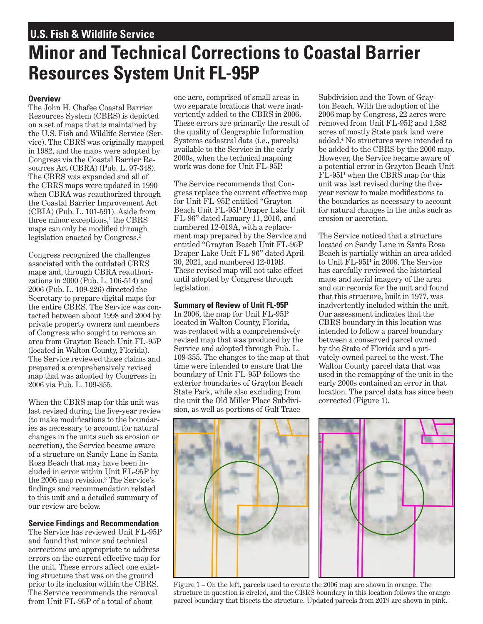## <span id="page-0-0"></span>**U.S. Fish & Wildlife Service**

# **Minor and Technical Corrections to Coastal Barrier Resources System Unit FL-95P**

### **Overview**

The John H. Chafee Coastal Barrier Resources System (CBRS) is depicted on a set of maps that is maintained by the U.S. Fish and Wildlife Service (Service). The CBRS was originally mapped in 1982, and the maps were adopted by Congress via the Coastal Barrier Resources Act (CBRA) (Pub. L. 97-348). The CBRS was expanded and all of the CBRS maps were updated in 1990 when CBRA was reauthorized through the Coastal Barrier Improvement Act (CBIA) (Pub. L. 101-591). Aside from three minor exceptions,<sup>1</sup> the CBRS maps can only be modifed through legislation enacted by Congress.[2](#page-1-0) 

Congress recognized the challenges associated with the outdated CBRS maps and, through CBRA reauthorizations in 2000 (Pub. L. 106-514) and 2006 (Pub. L. 109-226) directed the Secretary to prepare digital maps for the entire CBRS. The Service was contacted between about 1998 and 2004 by private property owners and members of Congress who sought to remove an area from Grayton Beach Unit FL-95P (located in Walton County, Florida). The Service reviewed those claims and prepared a comprehensively revised map that was adopted by Congress in 2006 via Pub. L. 109-355.

When the CBRS map for this unit was last revised during the fve-year review (to make modifcations to the boundaries as necessary to account for natural changes in the units such as erosion or accretion), the Service became aware of a structure on Sandy Lane in Santa Rosa Beach that may have been included in error within Unit FL-95P by the 2006 map revision[.3](#page-1-0) The Service's fndings and recommendation related to this unit and a detailed summary of our review are below.

### **Service Findings and Recommendation**

The Service has reviewed Unit FL-95P and found that minor and technical corrections are appropriate to address errors on the current effective map for the unit. These errors affect one existing structure that was on the ground prior to its inclusion within the CBRS. The Service recommends the removal from Unit FL-95P of a total of about

one acre, comprised of small areas in two separate locations that were inadvertently added to the CBRS in 2006. These errors are primarily the result of the quality of Geographic Information Systems cadastral data (i.e., parcels) available to the Service in the early 2000s, when the technical mapping work was done for Unit FL-95P.

The Service recommends that Congress replace the current effective map for Unit FL-95P, entitled "Grayton Beach Unit FL-95P Draper Lake Unit FL-96" dated January 11, 2016, and numbered 12-019A, with a replacement map prepared by the Service and entitled "Grayton Beach Unit FL-95P Draper Lake Unit FL-96" dated April 30, 2021, and numbered 12-019B. These revised map will not take effect until adopted by Congress through legislation.

### **Summary of Review of Unit FL-95P**

In 2006, the map for Unit FL-95P located in Walton County, Florida, was replaced with a comprehensively revised map that was produced by the Service and adopted through Pub. L. 109-355. The changes to the map at that time were intended to ensure that the boundary of Unit FL-95P follows the exterior boundaries of Grayton Beach State Park, while also excluding from the unit the Old Miller Place Subdivision, as well as portions of Gulf Trace

Subdivision and the Town of Grayton Beach. With the adoption of the 2006 map by Congress, 22 acres were removed from Unit FL-95P, and 1,582 acres of mostly State park land were added.[4](#page-1-0) No structures were intended to be added to the CBRS by the 2006 map. However, the Service became aware of a potential error in Grayton Beach Unit FL-95P when the CBRS map for this unit was last revised during the fveyear review to make modifcations to the boundaries as necessary to account for natural changes in the units such as erosion or accretion.

The Service noticed that a structure located on Sandy Lane in Santa Rosa Beach is partially within an area added to Unit FL-95P in 2006. The Service has carefully reviewed the historical maps and aerial imagery of the area and our records for the unit and found that this structure, built in 1977, was inadvertently included within the unit. Our assessment indicates that the CBRS boundary in this location was intended to follow a parcel boundary between a conserved parcel owned by the State of Florida and a privately-owned parcel to the west. The Walton County parcel data that was used in the remapping of the unit in the early 2000s contained an error in that location. The parcel data has since been corrected (Figure 1).



Figure 1 – On the left, parcels used to create the 2006 map are shown in orange. The structure in question is circled, and the CBRS boundary in this location follows the orange parcel boundary that bisects the structure. Updated parcels from 2019 are shown in pink.